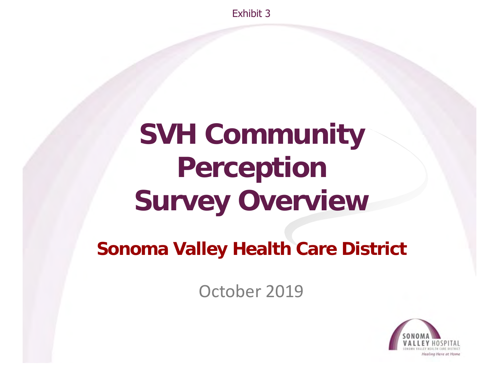Exhibit 3

# **SVH Community Perception Survey Overview**

#### **Sonoma Valley Health Care District**

October 2019

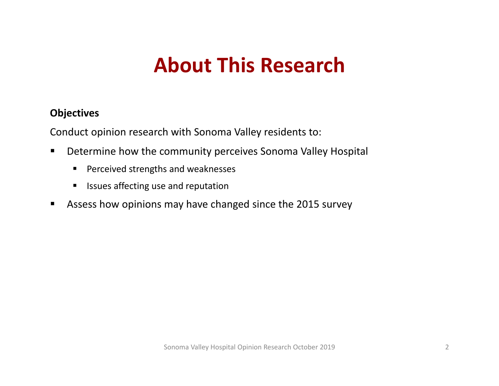#### **Objectives**

Conduct opinion research with Sonoma Valley residents to:

- $\blacksquare$  Determine how the community perceives Sonoma Valley Hospital
	- $\blacksquare$ ■ Perceived strengths and weaknesses
	- $\blacksquare$ Issues affecting use and reputation
- $\blacksquare$ Assess how opinions may have changed since the 2015 survey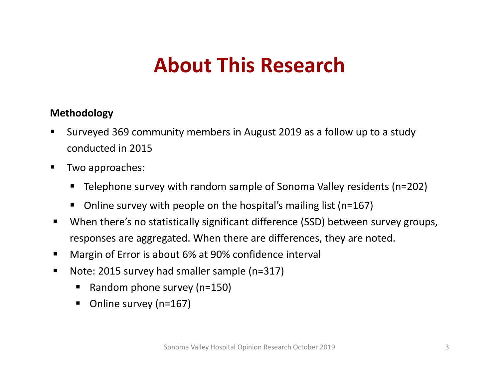#### **Methodology**

- $\blacksquare$  Surveyed 369 community members in August 2019 as <sup>a</sup> follow up to <sup>a</sup> study conducted in 2015
- $\blacksquare$ **Two approaches:** 
	- $\blacksquare$ Telephone survey with random sample of Sonoma Valley residents (n=202)
	- $\blacksquare$ ■ Online survey with people on the hospital's mailing list (n=167)
- $\blacksquare$  When there's no statistically significant difference (SSD) between survey groups, responses are aggregated. When there are differences, they are noted.
- Margin of Error is about 6% at 90% confidence interval
- $\blacksquare$ ■ Note: 2015 survey had smaller sample (n=317)
	- $\blacksquare$ ■ Random phone survey (n=150)
	- $\blacksquare$ ■ Online survey (n=167)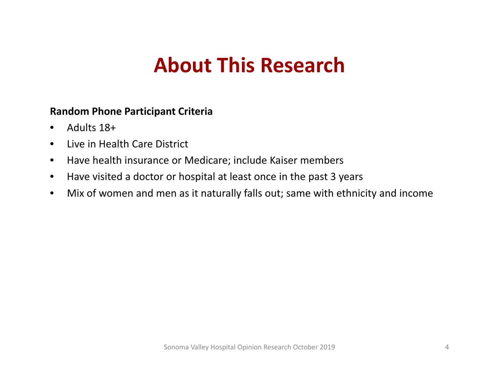#### **Random Phone Participant Criteria**

- $\bullet$ Adults 18+
- $\bullet$ Live in Health Care District
- $\bullet$ Have health insurance or Medicare; include Kaiser members
- $\bullet$ Have visited <sup>a</sup> doctor or hospital at least once in the past 3 years
- $\bullet$ Mix of women and men as it naturally falls out; same with ethnicity and income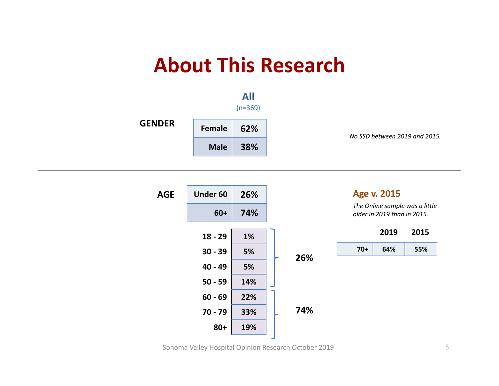



Sonoma Valley Hospital Opinion Research October 2019 5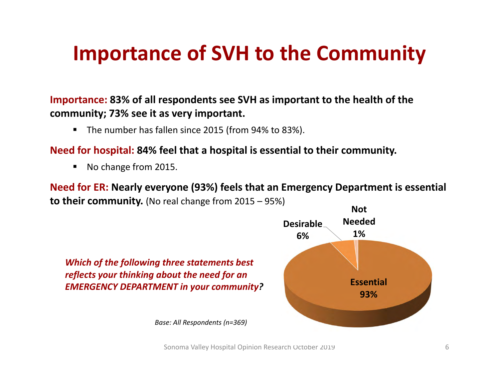### **Importance of SVH to the Community**

#### **Importance: 83% of all respondents see SVH as important to the health of the community; 73% see it as very important.**

■ The number has fallen since 2015 (from 94% to 83%).

#### **Need for hospital: 84% feel that <sup>a</sup> hospital is essential to their community.**

 $\blacksquare$ ■ No change from 2015.

**Need for ER: Nearly everyone (93%) feels that an Emergency Department is essential to their community.** (No real change from <sup>2015</sup> – 95%)

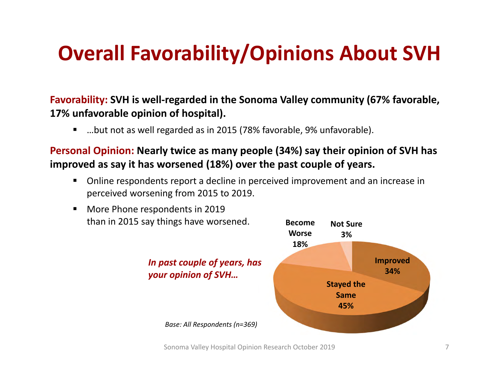## **Overall Favorability/Opinions About SVH**

#### **Favorability: SVH is well‐regarded in the Sonoma Valley community (67% favorable, 17% unfavorable opinion of hospital).**

П …but not as well regarded as in 2015 (78% favorable, 9% unfavorable).

■

#### **Personal Opinion: Nearly twice as many people (34%) say their opinion of SVH has improved as say it has worsened (18%) over the past couple of years.**

Ш Online respondents report <sup>a</sup> decline in perceived improvement and an increase in perceived worsening from 2015 to 2019.

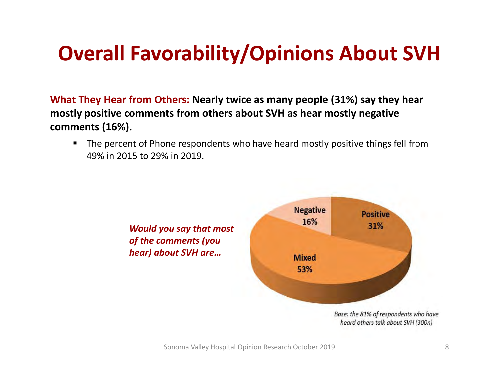## **Overall Favorability/Opinions About SVH**

**What They Hear from Others: Nearly twice as many people (31%) say they hear mostly positive comments from others about SVH as hear mostly negative comments (16%).**

 The percent of Phone respondents who have heard mostly positive things fell from 49% in 2015 to 29% in 2019.

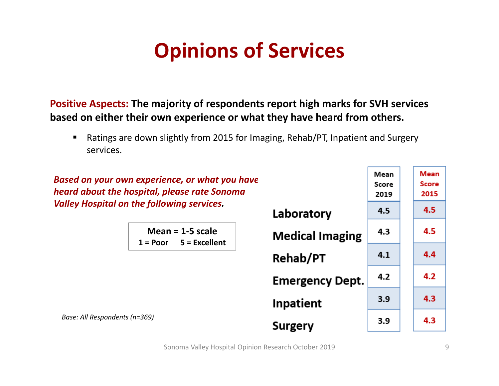## **Opinions of Services**

**Positive Aspects: The majority of respondents report high marks for SVH services based on either their own experience or what they have heard from others.**

■ Ratings are down slightly from 2015 for Imaging, Rehab/PT, Inpatient and Surgery services.

*Based on your own experience, or what you have heard about the hospital, please rate Sonoma Valley Hospital on the following services.*

|                                                  | Laporatory             |     |     |
|--------------------------------------------------|------------------------|-----|-----|
| Mean = $1-5$ scale<br>$1 = Poor$ $5 = Excellent$ | <b>Medical Imaging</b> | 4.3 | 4.5 |
|                                                  | <b>Rehab/PT</b>        | 4.1 | 4.4 |
|                                                  | <b>Emergency Dept.</b> | 4.2 | 4.2 |
|                                                  | <b>Inpatient</b>       | 3.9 | 4.3 |
| dents (n=369)                                    | Surgery                | 3.9 | 4.3 |

بالمتماد والمترادين

*Base: All Respondents (n=369)*

Mean

Score

2019

45

Mean

**Score** 

2015

4.5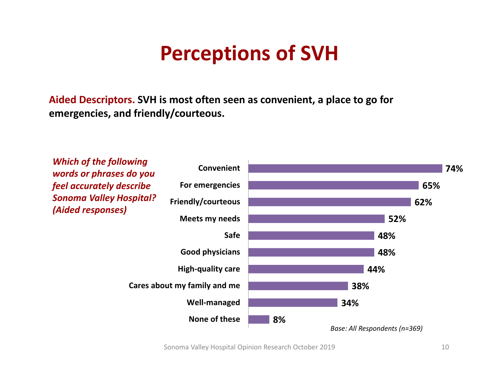### **Perceptions of SVH**

**Aided Descriptors. SVH is most often seen as convenient, <sup>a</sup> place to go for emergencies, and friendly/courteous.**



Sonoma Valley Hospital Opinion Research October 2019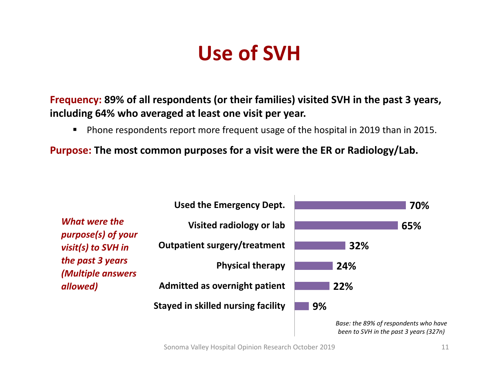### **Use of SVH**

**Frequency: 89% of all respondents (or their families) visited SVH in the past 3 years, including 64% who averaged at least one visit per year.**

 $\blacksquare$ Phone respondents report more frequent usage of the hospital in 2019 than in 2015.

**Purpose: The most common purposes for <sup>a</sup> visit were the ER or Radiology/Lab.**

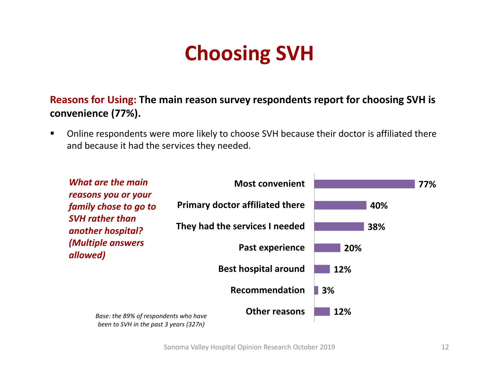## **Choosing SVH**

**Reasons for Using: The main reason survey respondents report for choosing SVH is convenience (77%).**

 $\blacksquare$  Online respondents were more likely to choose SVH because their doctor is affiliated there and because it had the services they needed.



Sonoma Valley Hospital Opinion Research October 2019 12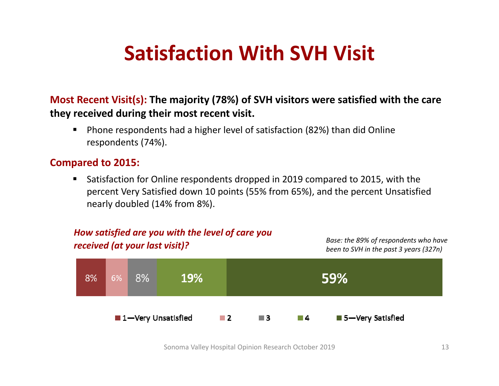### **Satisfaction With SVH Visit**

#### **Most Recent Visit(s): The majority (78%) of SVH visitors were satisfied with the care they received during their most recent visit.**

■ ■ Phone respondents had a higher level of satisfaction (82%) than did Online respondents (74%).

#### **Compared to 2015:**

 $\blacksquare$  Satisfaction for Online respondents dropped in 2019 compared to 2015, with the percent Very Satisfied down 10 points (55% from 65%), and the percent Unsatisfied nearly doubled (14% from 8%).

#### *How satisfied are you with the level of care you kase: the 89% of respondents who have received to SVH in the past 3 years (327n)***59%** 8% 6% 8% **19%** 1-Very Unsatisfied  $\blacksquare$  2 5-Very Satisfied  $\blacksquare$  3 **4**

Sonoma Valley Hospital Opinion Research October 2019 13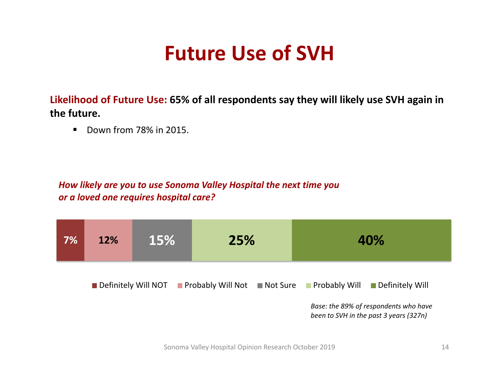### **Future Use of SVH**

**Likelihood of Future Use: 65% of all respondents say they will likely use SVH again in the future.**

 $\blacksquare$ ■ Down from 78% in 2015.

#### *How likely are you to use Sonoma Valley Hospital the next time you or a loved one requires hospital care?*

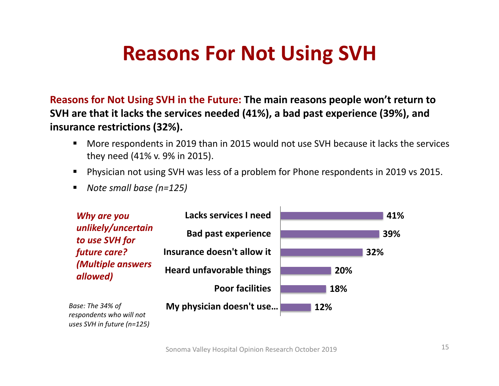### **Reasons For Not Using SVH**

**Reasons for Not Using SVH in the Future: The main reasons people won't return to SVH are that it lacks the services needed (41%), <sup>a</sup> bad past experience (39%), and insurance restrictions (32%).**

- $\blacksquare$  More respondents in 2019 than in 2015 would not use SVH because it lacks the services they need (41% v. 9% in 2015).
- Physician not using SVH was less of <sup>a</sup> problem for Phone respondents in 2019 vs 2015.
- *Note small base (n=125)*



Sonoma Valley Hospital Opinion Research October 2019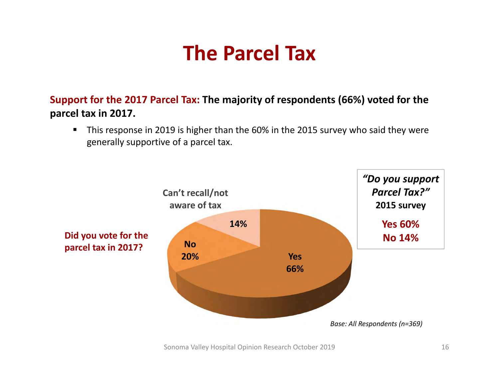### **The Parcel Tax**

**Support for the 2017 Parcel Tax: The majority of respondents (66%) voted for the parcel tax in 2017.**

 $\blacksquare$  This response in 2019 is higher than the 60% in the 2015 survey who said they were generally supportive of <sup>a</sup> parcel tax.

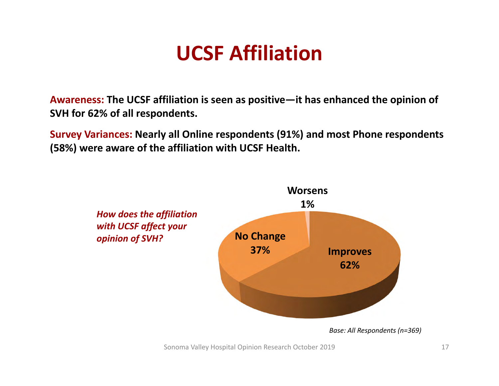### **UCSF Affiliation**

**Awareness: The UCSF affiliation is seen as positive—it has enhanced the opinion of SVH for 62% of all respondents.**

**Survey Variances: Nearly all Online respondents (91%) and most Phone respondents (58%) were aware of the affiliation with UCSF Health.**

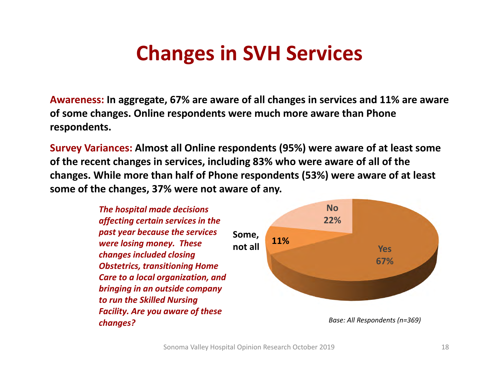### **Changes in SVH Services**

**Awareness: In aggregate, 67% are aware of all changes in services and 11% are aware of some changes. Online respondents were much more aware than Phone respondents.**

**Survey Variances: Almost all Online respondents (95%) were aware of at least some of the recent changes in services, including 83% who were aware of all of the changes. While more than half of Phone respondents (53%) were aware of at least some of the changes, 37% were not aware of any.**

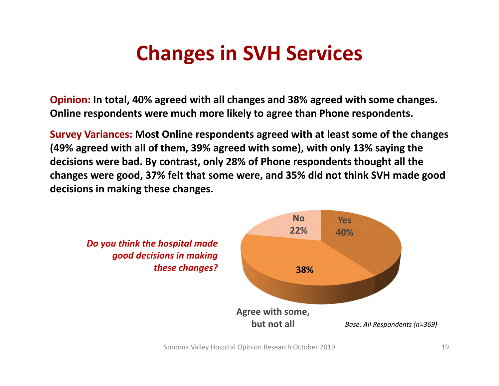## **Changes in SVH Services**

**Opinion: In total, 40% agreed with all changes and 38% agreed with some changes. Online respondents were much more likely to agree than Phone respondents.**

**Survey Variances: Most Online respondents agreed with at least some of the changes (49% agreed with all of them, 39% agreed with some), with only 13% saying the decisions were bad. By contrast, only 28% of Phone respondents thought all the changes were good, 37% felt that some were, and 35% did not think SVH made good decisions in making these changes.**

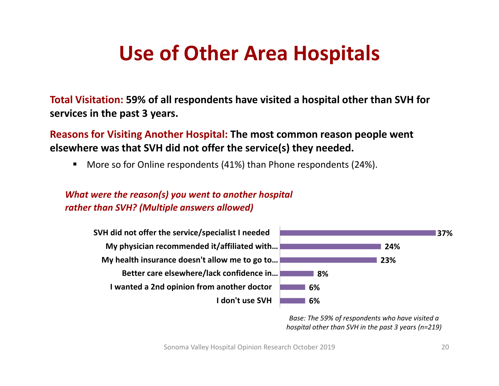### **Use of Other Area Hospitals**

**Total Visitation: 59% of all respondents have visited <sup>a</sup> hospital other than SVH for services in the past 3 years.**

**Reasons for Visiting Another Hospital: The most common reason people went elsewhere was that SVH did not offer the service(s) they needed.**

■ ■ More so for Online respondents (41%) than Phone respondents (24%).

#### *What were the reason(s) you went to another hospital rather than SVH? (Multiple answers allowed)*



*Base: The 59% of respondents who have visited <sup>a</sup> hospital other than SVH in the past 3 years (n=219)*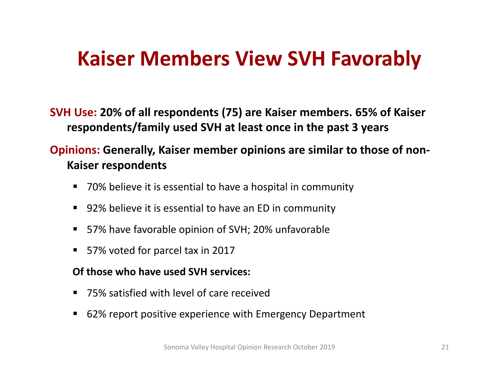### **Kaiser Members View SVH Favorably**

**SVH Use: 20% of all respondents (75) are Kaiser members. 65% of Kaiser respondents/family used SVH at least once in the past 3 years**

#### **Opinions: Generally, Kaiser member opinions are similar to those of non‐ Kaiser respondents**

- 70% believe it is essential to have a hospital in community
- 92% believe it is essential to have an ED in community
- 57% have favorable opinion of SVH; 20% unfavorable
- 57% voted for parcel tax in 2017

#### **Of those who have used SVH services:**

- 75% satisfied with level of care received
- ■ 62% report positive experience with Emergency Department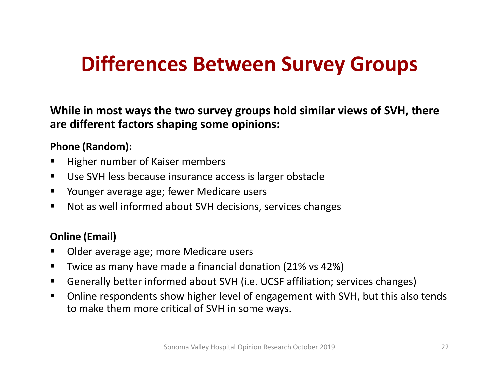### **Differences Between Survey Groups**

**While in most ways the two survey groups hold similar views of SVH, there are different factors shaping some opinions:**

#### **Phone (Random):**

- п Higher number of Kaiser members
- Use SVH less because insurance access is larger obstacle
- **The Produger average age; fewer Medicare users**
- $\blacksquare$ Not as well informed about SVH decisions, services changes

#### **Online (Email)**

- п Older average age; more Medicare users
- $\blacksquare$ Twice as many have made <sup>a</sup> financial donation (21% vs 42%)
- $\blacksquare$ Generally better informed about SVH (i.e. UCSF affiliation; services changes)
- $\blacksquare$  Online respondents show higher level of engagement with SVH, but this also tends to make them more critical of SVH in some ways.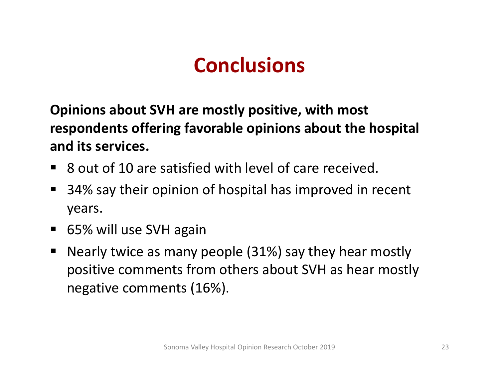**Opinions about SVH are mostly positive, with most respondents offering favorable opinions about the hospital and its services.**

- $\blacksquare$ ■ 8 out of 10 are satisfied with level of care received.
- E ■ 34% say their opinion of hospital has improved in recent years.
- 65% will use SVH again
- $\blacksquare$  Nearly twice as many people (31%) say they hear mostly positive comments from others about SVH as hear mostly negative comments (16%).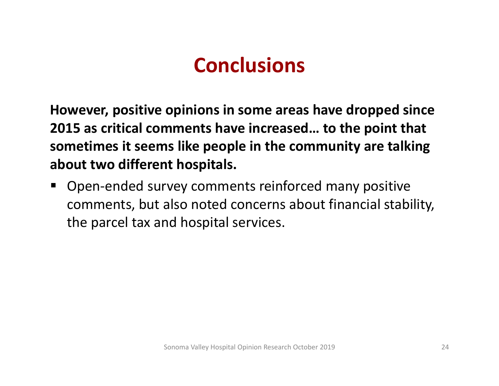**However, positive opinions in some areas have dropped since 2015 as critical comments have increased… to the point that sometimes it seems like people in the community are talking about two different hospitals.**

L Open‐ended survey comments reinforced many positive comments, but also noted concerns about financial stability, the parcel tax and hospital services.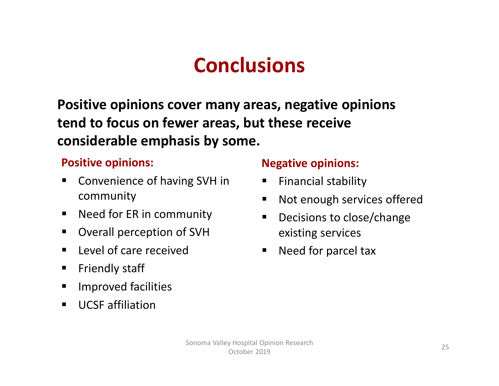**Positive opinions cover many areas, negative opinions tend to focus on fewer areas, but these receive considerable emphasis by some.**

#### **Positive opinions:**

- $\blacksquare$ **E** Convenience of having SVH in community
- $\blacksquare$ ■ Need for ER in community
- $\blacksquare$ Overall perception of SVH
- $\blacksquare$ **Level of care received**
- $\blacksquare$ Friendly staff
- $\blacksquare$ Improved facilities
- $\blacksquare$ UCSF affiliation

#### **Negative opinions:**

- ٠ Financial stability
- $\blacksquare$ Not enough services offered
- $\blacksquare$ ■ Decisions to close/change existing services
- $\blacksquare$ **Need for parcel tax**